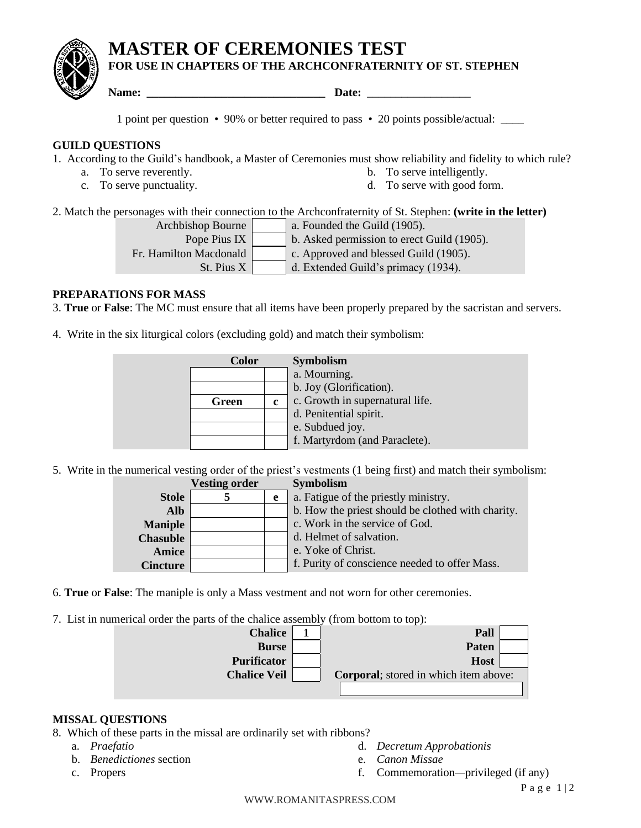# **MASTER OF CEREMONIES TEST**

# **FOR USE IN CHAPTERS OF THE ARCHCONFRATERNITY OF ST. STEPHEN**

**Name: Date: Date:** *Date:* 

1 point per question • 90% or better required to pass • 20 points possible/actual: \_\_\_\_

#### **GUILD QUESTIONS**

1. According to the Guild's handbook, a Master of Ceremonies must show reliability and fidelity to which rule?

- a. To serve reverently. b. To serve intelligently.
- c. To serve punctuality. d. To serve with good form.
- -

2. Match the personages with their connection to the Archconfraternity of St. Stephen: **(write in the letter)**

Archbishop Bourne  $\vert$  a. Founded the Guild (1905). Pope Pius IX b. Asked permission to erect Guild  $(1905)$ .

Fr. Hamilton Macdonald c. Approved and blessed Guild (1905).

St. Pius  $X \mid d$ . Extended Guild's primacy (1934).

### **PREPARATIONS FOR MASS**

3. **True** or **False**: The MC must ensure that all items have been properly prepared by the sacristan and servers.

4. Write in the six liturgical colors (excluding gold) and match their symbolism:

| Color |   | <b>Symbolism</b>                |
|-------|---|---------------------------------|
|       |   | a. Mourning.                    |
|       |   | b. Joy (Glorification).         |
| Green | c | c. Growth in supernatural life. |
|       |   | d. Penitential spirit.          |
|       |   | e. Subdued joy.                 |
|       |   | f. Martyrdom (and Paraclete).   |

5. Write in the numerical vesting order of the priest's vestments (1 being first) and match their symbolism:

|                 | <b>Vesting order</b> |   | <b>Symbolism</b>                                  |
|-----------------|----------------------|---|---------------------------------------------------|
| <b>Stole</b>    |                      | e | a. Fatigue of the priestly ministry.              |
| <b>Alb</b>      |                      |   | b. How the priest should be clothed with charity. |
| <b>Maniple</b>  |                      |   | c. Work in the service of God.                    |
| <b>Chasuble</b> |                      |   | d. Helmet of salvation.                           |
| Amice           |                      |   | e. Yoke of Christ.                                |
| <b>Cincture</b> |                      |   | f. Purity of conscience needed to offer Mass.     |

- 6. **True** or **False**: The maniple is only a Mass vestment and not worn for other ceremonies.
- 7. List in numerical order the parts of the chalice assembly (from bottom to top):



#### **MISSAL QUESTIONS**

8. Which of these parts in the missal are ordinarily set with ribbons?

- a. *Praefatio*
- b. *Benedictiones* section
- c. Propers
- d. *Decretum Approbationis*
- e. *Canon Missae*
- f. Commemoration*—*privileged (if any)